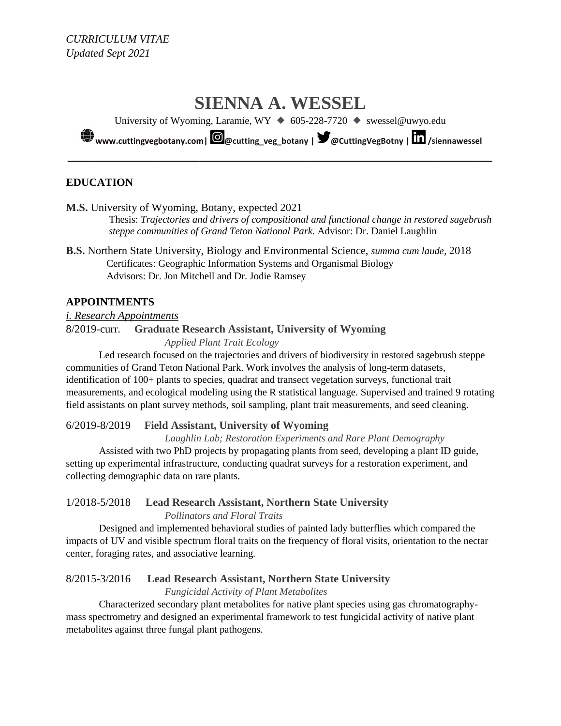# **SIENNA A. WESSEL**

University of Wyoming, Laramie, WY ⯁ 605-228-7720 ⯁ swessel@uwyo.edu

**[www.cuttingvegbotany.com|](https://www.cuttingvegbotany.com/) [@cutting\\_veg\\_botany](https://www.instagram.com/cutting_veg_botany/) | [@CuttingVegBotny](https://twitter.com/CuttingVegBotny) | [/siennawessel](https://www.linkedin.com/in/siennawessel/) \_\_\_\_\_\_\_\_\_\_\_\_\_\_\_\_\_\_\_\_\_\_\_\_\_\_\_\_\_\_\_\_\_\_\_\_\_\_\_\_\_\_\_\_\_\_\_\_\_\_\_\_\_\_\_\_\_\_**

## **EDUCATION**

**M.S.** University of Wyoming, Botany, expected 2021

Thesis: *Trajectories and drivers of compositional and functional change in restored sagebrush steppe communities of Grand Teton National Park.* Advisor: Dr. Daniel Laughlin

**B.S.** Northern State University, Biology and Environmental Science, *summa cum laude,* 2018 Certificates: Geographic Information Systems and Organismal Biology Advisors: Dr. Jon Mitchell and Dr. Jodie Ramsey

## **APPOINTMENTS**

*i. Research Appointments* 8/2019-curr. **Graduate Research Assistant, University of Wyoming**

*Applied Plant Trait Ecology* 

Led research focused on the trajectories and drivers of biodiversity in restored sagebrush steppe communities of Grand Teton National Park. Work involves the analysis of long-term datasets, identification of 100+ plants to species, quadrat and transect vegetation surveys, functional trait measurements, and ecological modeling using the R statistical language. Supervised and trained 9 rotating field assistants on plant survey methods, soil sampling, plant trait measurements, and seed cleaning.

## 6/2019-8/2019 **Field Assistant, University of Wyoming**

*Laughlin Lab; Restoration Experiments and Rare Plant Demography*

Assisted with two PhD projects by propagating plants from seed, developing a plant ID guide, setting up experimental infrastructure, conducting quadrat surveys for a restoration experiment, and collecting demographic data on rare plants.

## 1/2018-5/2018 **Lead Research Assistant, Northern State University** *Pollinators and Floral Traits*

Designed and implemented behavioral studies of painted lady butterflies which compared the impacts of UV and visible spectrum floral traits on the frequency of floral visits, orientation to the nectar center, foraging rates, and associative learning.

## 8/2015-3/2016 **Lead Research Assistant, Northern State University**

*Fungicidal Activity of Plant Metabolites*

Characterized secondary plant metabolites for native plant species using gas chromatographymass spectrometry and designed an experimental framework to test fungicidal activity of native plant metabolites against three fungal plant pathogens.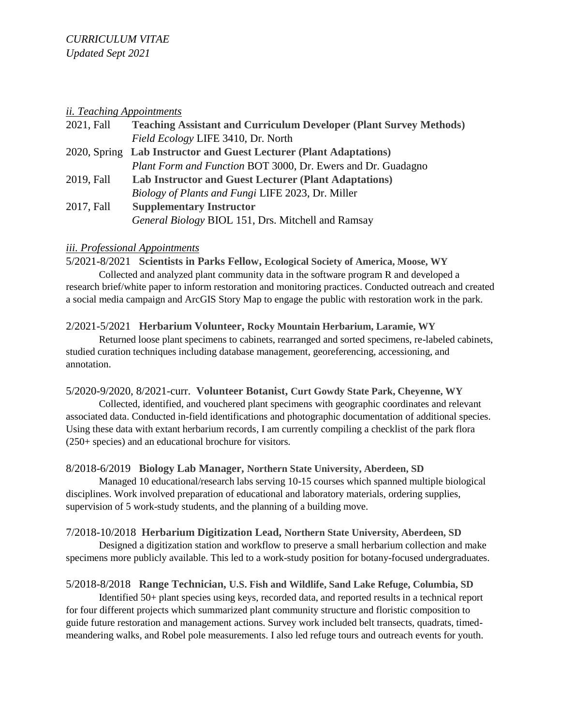#### *ii. Teaching Appointments*

| 2021, Fall | <b>Teaching Assistant and Curriculum Developer (Plant Survey Methods)</b> |
|------------|---------------------------------------------------------------------------|
|            | Field Ecology LIFE 3410, Dr. North                                        |
|            | 2020, Spring Lab Instructor and Guest Lecturer (Plant Adaptations)        |
|            | <i>Plant Form and Function BOT 3000, Dr. Ewers and Dr. Guadagno</i>       |
| 2019, Fall | <b>Lab Instructor and Guest Lecturer (Plant Adaptations)</b>              |
|            | <i>Biology of Plants and Fungi LIFE 2023, Dr. Miller</i>                  |
| 2017, Fall | <b>Supplementary Instructor</b>                                           |
|            | General Biology BIOL 151, Drs. Mitchell and Ramsay                        |

## *iii. Professional Appointments*

5/2021-8/2021 **Scientists in Parks Fellow, Ecological Society of America, Moose, WY** Collected and analyzed plant community data in the software program R and developed a research brief/white paper to inform restoration and monitoring practices. Conducted outreach and created a social media campaign and ArcGIS Story Map to engage the public with restoration work in the park.

## 2/2021-5/2021 **Herbarium Volunteer, Rocky Mountain Herbarium, Laramie, WY**

Returned loose plant specimens to cabinets, rearranged and sorted specimens, re-labeled cabinets, studied curation techniques including database management, georeferencing, accessioning, and annotation.

5/2020-9/2020, 8/2021-curr. **Volunteer Botanist, Curt Gowdy State Park, Cheyenne, WY**

Collected, identified, and vouchered plant specimens with geographic coordinates and relevant associated data. Conducted in-field identifications and photographic documentation of additional species. Using these data with extant herbarium records, I am currently compiling a checklist of the park flora (250+ species) and an educational brochure for visitors.

# 8/2018-6/2019 **Biology Lab Manager, Northern State University, Aberdeen, SD**

Managed 10 educational/research labs serving 10-15 courses which spanned multiple biological disciplines. Work involved preparation of educational and laboratory materials, ordering supplies, supervision of 5 work-study students, and the planning of a building move.

# 7/2018-10/2018 **Herbarium Digitization Lead, Northern State University, Aberdeen, SD**

Designed a digitization station and workflow to preserve a small herbarium collection and make specimens more publicly available. This led to a work-study position for botany-focused undergraduates.

# 5/2018-8/2018 **Range Technician, U.S. Fish and Wildlife, Sand Lake Refuge, Columbia, SD**

Identified 50+ plant species using keys, recorded data, and reported results in a technical report for four different projects which summarized plant community structure and floristic composition to guide future restoration and management actions. Survey work included belt transects, quadrats, timedmeandering walks, and Robel pole measurements. I also led refuge tours and outreach events for youth.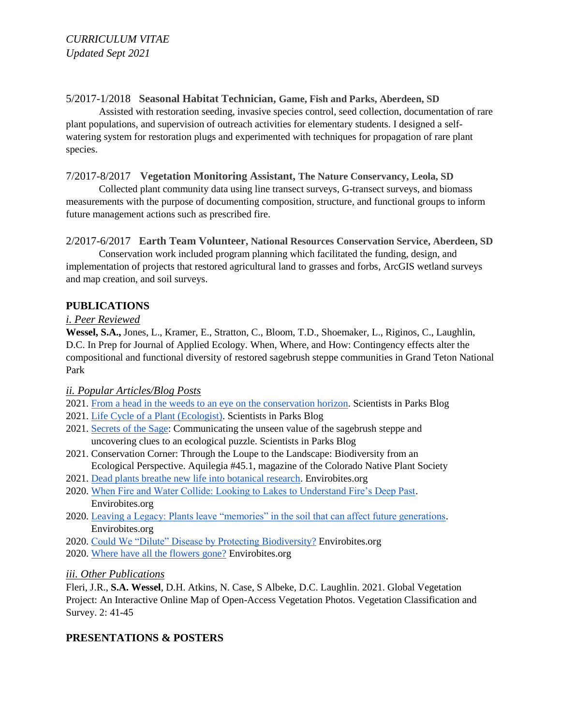# 5/2017-1/2018 **Seasonal Habitat Technician, Game, Fish and Parks, Aberdeen, SD**

Assisted with restoration seeding, invasive species control, seed collection, documentation of rare plant populations, and supervision of outreach activities for elementary students. I designed a selfwatering system for restoration plugs and experimented with techniques for propagation of rare plant species.

## 7/2017-8/2017 **Vegetation Monitoring Assistant, The Nature Conservancy, Leola, SD**

Collected plant community data using line transect surveys, G-transect surveys, and biomass measurements with the purpose of documenting composition, structure, and functional groups to inform future management actions such as prescribed fire.

2/2017-6/2017 **Earth Team Volunteer, National Resources Conservation Service, Aberdeen, SD**

Conservation work included program planning which facilitated the funding, design, and implementation of projects that restored agricultural land to grasses and forbs, ArcGIS wetland surveys and map creation, and soil surveys.

# **PUBLICATIONS**

## *i. Peer Reviewed*

**Wessel, S.A.,** Jones, L., Kramer, E., Stratton, C., Bloom, T.D., Shoemaker, L., Riginos, C., Laughlin, D.C. In Prep for Journal of Applied Ecology. When, Where, and How: Contingency effects alter the compositional and functional diversity of restored sagebrush steppe communities in Grand Teton National Park

## *ii. Popular Articles/Blog Posts*

2021. [From a head in the weeds to an eye on the conservation horizon.](https://www.esa.org/scientists-in-parks/from-a-head-in-the-weeds-to-an-eye-on-the-conservation-horizon/) Scientists in Parks Blog

- 2021. [Life Cycle of a Plant \(Ecologist\).](https://www.esa.org/scientists-in-parks/life-cycle-of-a-plant-ecologist/) Scientists in Parks Blog
- 2021. [Secrets of the Sage:](https://www.esa.org/scientists-in-parks/secrets-of-the-sage-communicating-the-unseen-value-of-the-sagebrush-steppe-and-uncovering-clues-to-an-ecological-puzzle/) Communicating the unseen value of the sagebrush steppe and uncovering clues to an ecological puzzle. Scientists in Parks Blog
- 2021. Conservation Corner: Through the Loupe to the Landscape: Biodiversity from an Ecological Perspective. Aquilegia #45.1, magazine of the Colorado Native Plant Society
- 2021. [Dead plants breathe new life into botanical research.](https://envirobites.org/2021/01/18/dead-plants-breathe-new-life-into-botanical-research/) Envirobites.org
- 2020. [When Fire and Water Collide: Looking to Lakes to Understand Fire's Deep Past.](https://envirobites.org/2020/09/27/when-fire-and-water-collide-looking-to-lakes-to-understand-fires-deep-past/) Envirobites.org
- 2020. Leaving a [Legacy: Plants leave "memories" in the soil that can affect future generations.](https://envirobites.org/2020/07/28/leaving-a-legacy-plants-leave-memories-in-the-soil-that-can-affect-future-generations/) Envirobites.org
- 2020. [Could We "Dilute" Disease by Protecting Biodiversity?](https://envirobites.org/2020/04/28/could-we-dilute-disease-by-protecting-biodiversity/) Envirobites.org
- 2020. [Where have all the flowers gone?](https://envirobites.org/2020/03/07/where-have-all-the-flowers-gone-climate-change-is-driving-the-loss-of-forbs-and-diversity-in-californian-grasslands/) Envirobites.org

## *iii. Other Publications*

Fleri, J.R., **S.A. Wessel**, D.H. Atkins, N. Case, S Albeke, D.C. Laughlin. 2021. Global Vegetation Project: An Interactive Online Map of Open-Access Vegetation Photos. Vegetation Classification and Survey. 2: 41-45

# **PRESENTATIONS & POSTERS**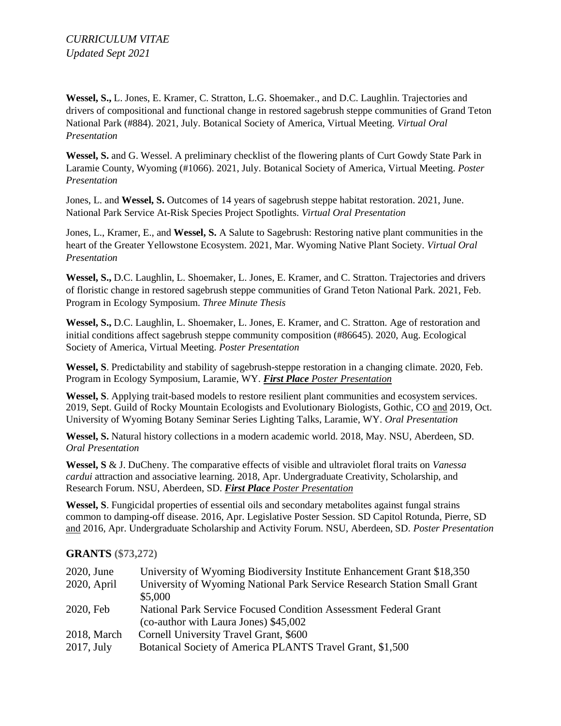**Wessel, S.,** L. Jones, E. Kramer, C. Stratton, L.G. Shoemaker., and D.C. Laughlin. Trajectories and drivers of compositional and functional change in restored sagebrush steppe communities of Grand Teton National Park (#884). 2021, July. Botanical Society of America, Virtual Meeting. *Virtual Oral Presentation*

**Wessel, S.** and G. Wessel. A preliminary checklist of the flowering plants of Curt Gowdy State Park in Laramie County, Wyoming (#1066). 2021, July. Botanical Society of America, Virtual Meeting. *Poster Presentation*

Jones, L. and **Wessel, S.** Outcomes of 14 years of sagebrush steppe habitat restoration. 2021, June. National Park Service At-Risk Species Project Spotlights. *Virtual Oral Presentation*

Jones, L., Kramer, E., and **Wessel, S.** A Salute to Sagebrush: Restoring native plant communities in the heart of the Greater Yellowstone Ecosystem. 2021, Mar. Wyoming Native Plant Society. *Virtual Oral Presentation*

**Wessel, S.,** D.C. Laughlin, L. Shoemaker, L. Jones, E. Kramer, and C. Stratton. Trajectories and drivers of floristic change in restored sagebrush steppe communities of Grand Teton National Park. 2021, Feb. Program in Ecology Symposium. *Three Minute Thesis*

**Wessel, S.,** D.C. Laughlin, L. Shoemaker, L. Jones, E. Kramer, and C. Stratton. Age of restoration and initial conditions affect sagebrush steppe community composition (#86645). 2020, Aug. Ecological Society of America, Virtual Meeting. *Poster Presentation*

**Wessel, S**. Predictability and stability of sagebrush-steppe restoration in a changing climate. 2020, Feb. Program in Ecology Symposium, Laramie, WY. *First Place Poster Presentation*

**Wessel, S**. Applying trait-based models to restore resilient plant communities and ecosystem services. 2019, Sept. Guild of Rocky Mountain Ecologists and Evolutionary Biologists, Gothic, CO and 2019, Oct. University of Wyoming Botany Seminar Series Lighting Talks, Laramie, WY. *Oral Presentation*

**Wessel, S.** Natural history collections in a modern academic world. 2018, May. NSU, Aberdeen, SD. *Oral Presentation*

**Wessel, S** & J. DuCheny. The comparative effects of visible and ultraviolet floral traits on *Vanessa cardui* attraction and associative learning. 2018, Apr. Undergraduate Creativity, Scholarship, and Research Forum. NSU, Aberdeen, SD. *First Place Poster Presentation*

**Wessel, S**. Fungicidal properties of essential oils and secondary metabolites against fungal strains common to damping-off disease. 2016, Apr. Legislative Poster Session. SD Capitol Rotunda, Pierre, SD and 2016, Apr. Undergraduate Scholarship and Activity Forum. NSU, Aberdeen, SD. *Poster Presentation*

#### **GRANTS (\$73,272)**

| 2020, June    | University of Wyoming Biodiversity Institute Enhancement Grant \$18,350  |
|---------------|--------------------------------------------------------------------------|
| 2020, April   | University of Wyoming National Park Service Research Station Small Grant |
|               | \$5,000                                                                  |
| 2020, Feb     | National Park Service Focused Condition Assessment Federal Grant         |
|               | (co-author with Laura Jones) \$45,002                                    |
| 2018, March   | Cornell University Travel Grant, \$600                                   |
| $2017$ , July | Botanical Society of America PLANTS Travel Grant, \$1,500                |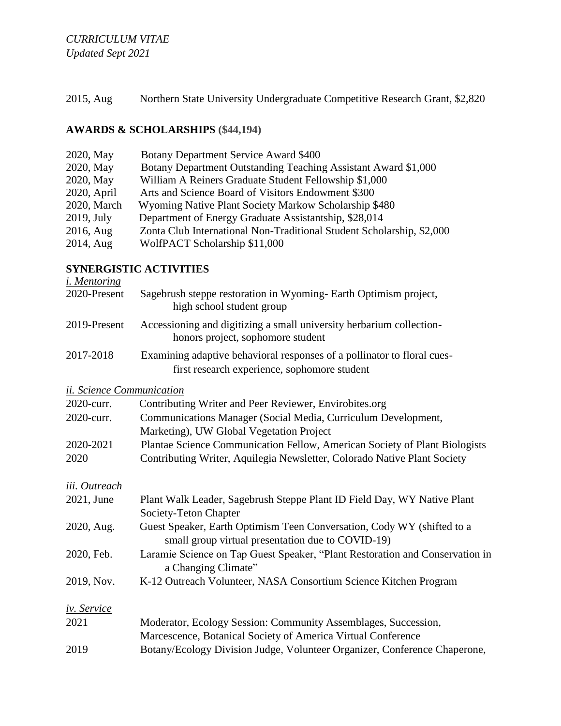2015, Aug Northern State University Undergraduate Competitive Research Grant, \$2,820

# **AWARDS & SCHOLARSHIPS (\$44,194)**

| 2020, May     | Botany Department Service Award \$400                                 |
|---------------|-----------------------------------------------------------------------|
| 2020, May     | Botany Department Outstanding Teaching Assistant Award \$1,000        |
| 2020, May     | William A Reiners Graduate Student Fellowship \$1,000                 |
| 2020, April   | Arts and Science Board of Visitors Endowment \$300                    |
| 2020, March   | Wyoming Native Plant Society Markow Scholarship \$480                 |
| $2019$ , July | Department of Energy Graduate Assistantship, \$28,014                 |
| 2016, Aug     | Zonta Club International Non-Traditional Student Scholarship, \$2,000 |
| 2014, Aug     | WolfPACT Scholarship \$11,000                                         |

## **SYNERGISTIC ACTIVITIES**

*i. Mentoring* 2020-Present Sagebrush steppe restoration in Wyoming- Earth Optimism project, high school student group 2019-Present Accessioning and digitizing a small university herbarium collection honors project, sophomore student 2017-2018 Examining adaptive behavioral responses of a pollinator to floral cues first research experience, sophomore student *ii. Science Communication* 2020-curr. Contributing Writer and Peer Reviewer, Envirobites.org 2020-curr. Communications Manager (Social Media, Curriculum Development, Marketing), UW Global Vegetation Project 2020-2021 Plantae Science Communication Fellow, American Society of Plant Biologists 2020 Contributing Writer, Aquilegia Newsletter, Colorado Native Plant Society *iii. Outreach*

| <i>ut. Outreach</i> |                                                                              |
|---------------------|------------------------------------------------------------------------------|
| 2021, June          | Plant Walk Leader, Sagebrush Steppe Plant ID Field Day, WY Native Plant      |
|                     | Society-Teton Chapter                                                        |
| 2020, Aug.          | Guest Speaker, Earth Optimism Teen Conversation, Cody WY (shifted to a       |
|                     | small group virtual presentation due to COVID-19)                            |
| 2020, Feb.          | Laramie Science on Tap Guest Speaker, "Plant Restoration and Conservation in |
|                     | a Changing Climate"                                                          |
| 2019, Nov.          | K-12 Outreach Volunteer, NASA Consortium Science Kitchen Program             |
| iv. Service         |                                                                              |
| 2021                | Moderator, Ecology Session: Community Assemblages, Succession,               |
|                     | Marcescence, Botanical Society of America Virtual Conference                 |
| 2019                | Botany/Ecology Division Judge, Volunteer Organizer, Conference Chaperone,    |